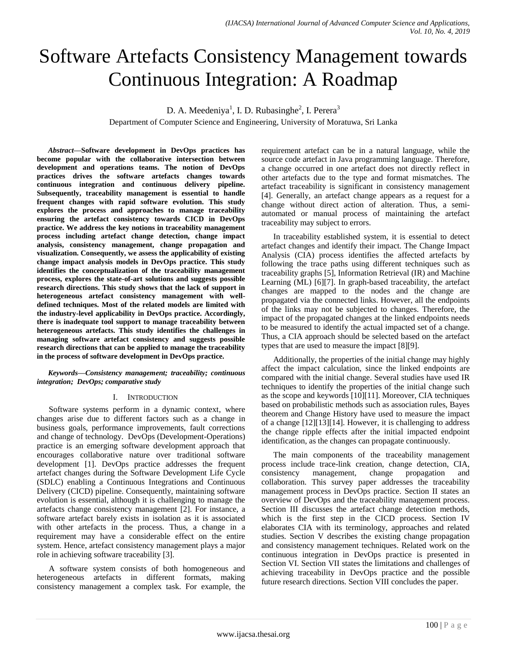# Software Artefacts Consistency Management towards Continuous Integration: A Roadmap

D. A. Meedeniya<sup>1</sup>, I. D. Rubasinghe<sup>2</sup>, I. Perera<sup>3</sup>

Department of Computer Science and Engineering, University of Moratuwa, Sri Lanka

*Abstract***—Software development in DevOps practices has become popular with the collaborative intersection between development and operations teams. The notion of DevOps practices drives the software artefacts changes towards continuous integration and continuous delivery pipeline. Subsequently, traceability management is essential to handle frequent changes with rapid software evolution. This study explores the process and approaches to manage traceability ensuring the artefact consistency towards CICD in DevOps practice. We address the key notions in traceability management process including artefact change detection, change impact analysis, consistency management, change propagation and visualization. Consequently, we assess the applicability of existing change impact analysis models in DevOps practice. This study identifies the conceptualization of the traceability management process, explores the state-of-art solutions and suggests possible research directions. This study shows that the lack of support in heterogeneous artefact consistency management with welldefined techniques. Most of the related models are limited with the industry-level applicability in DevOps practice. Accordingly, there is inadequate tool support to manage traceability between heterogeneous artefacts. This study identifies the challenges in managing software artefact consistency and suggests possible research directions that can be applied to manage the traceability in the process of software development in DevOps practice.**

*Keywords—Consistency management; traceability; continuous integration; DevOps; comparative study*

#### I. INTRODUCTION

Software systems perform in a dynamic context, where changes arise due to different factors such as a change in business goals, performance improvements, fault corrections and change of technology. DevOps (Development-Operations) practice is an emerging software development approach that encourages collaborative nature over traditional software development [1]. DevOps practice addresses the frequent artefact changes during the Software Development Life Cycle (SDLC) enabling a Continuous Integrations and Continuous Delivery (CICD) pipeline. Consequently, maintaining software evolution is essential, although it is challenging to manage the artefacts change consistency management [2]. For instance, a software artefact barely exists in isolation as it is associated with other artefacts in the process. Thus, a change in a requirement may have a considerable effect on the entire system. Hence, artefact consistency management plays a major role in achieving software traceability [3].

A software system consists of both homogeneous and heterogeneous artefacts in different formats, making consistency management a complex task. For example, the requirement artefact can be in a natural language, while the source code artefact in Java programming language. Therefore, a change occurred in one artefact does not directly reflect in other artefacts due to the type and format mismatches. The artefact traceability is significant in consistency management [4]. Generally, an artefact change appears as a request for a change without direct action of alteration. Thus, a semiautomated or manual process of maintaining the artefact traceability may subject to errors.

In traceability established system, it is essential to detect artefact changes and identify their impact. The Change Impact Analysis (CIA) process identifies the affected artefacts by following the trace paths using different techniques such as traceability graphs [5], Information Retrieval (IR) and Machine Learning (ML) [6][7]. In graph-based traceability, the artefact changes are mapped to the nodes and the change are propagated via the connected links. However, all the endpoints of the links may not be subjected to changes. Therefore, the impact of the propagated changes at the linked endpoints needs to be measured to identify the actual impacted set of a change. Thus, a CIA approach should be selected based on the artefact types that are used to measure the impact [8][9].

Additionally, the properties of the initial change may highly affect the impact calculation, since the linked endpoints are compared with the initial change. Several studies have used IR techniques to identify the properties of the initial change such as the scope and keywords [10][11]. Moreover, CIA techniques based on probabilistic methods such as association rules, Bayes theorem and Change History have used to measure the impact of a change [12][13][14]. However, it is challenging to address the change ripple effects after the initial impacted endpoint identification, as the changes can propagate continuously.

The main components of the traceability management process include trace-link creation, change detection, CIA, consistency management, change propagation and collaboration. This survey paper addresses the traceability management process in DevOps practice. Section II states an overview of DevOps and the traceability management process. Section III discusses the artefact change detection methods, which is the first step in the CICD process. Section IV elaborates CIA with its terminology, approaches and related studies. Section V describes the existing change propagation and consistency management techniques. Related work on the continuous integration in DevOps practice is presented in Section VI. Section VII states the limitations and challenges of achieving traceability in DevOps practice and the possible future research directions. Section VIII concludes the paper.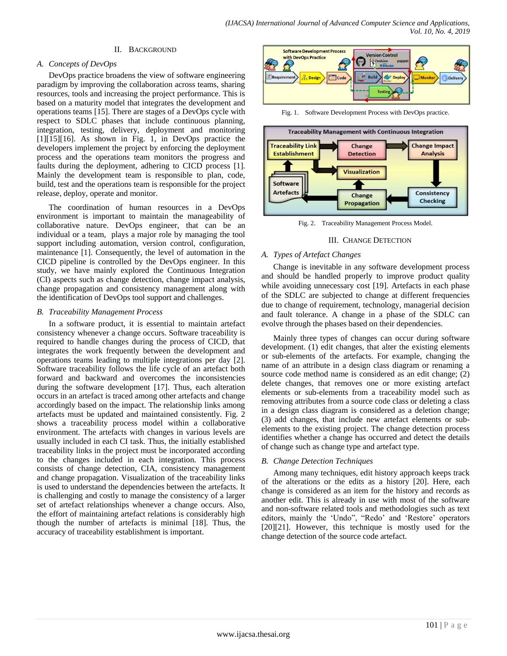# II. BACKGROUND

# *A. Concepts of DevOps*

DevOps practice broadens the view of software engineering paradigm by improving the collaboration across teams, sharing resources, tools and increasing the project performance. This is based on a maturity model that integrates the development and operations teams [15]. There are stages of a DevOps cycle with respect to SDLC phases that include continuous planning, integration, testing, delivery, deployment and monitoring  $[1][15][16]$ . As shown in Fig. 1, in DevOps practice the developers implement the project by enforcing the deployment process and the operations team monitors the progress and faults during the deployment, adhering to CICD process [1]. Mainly the development team is responsible to plan, code, build, test and the operations team is responsible for the project release, deploy, operate and monitor.

The coordination of human resources in a DevOps environment is important to maintain the manageability of collaborative nature. DevOps engineer, that can be an individual or a team, plays a major role by managing the tool support including automation, version control, configuration, maintenance [1]. Consequently, the level of automation in the CICD pipeline is controlled by the DevOps engineer. In this study, we have mainly explored the Continuous Integration (CI) aspects such as change detection, change impact analysis, change propagation and consistency management along with the identification of DevOps tool support and challenges.

# *B. Traceability Management Process*

In a software product, it is essential to maintain artefact consistency whenever a change occurs. Software traceability is required to handle changes during the process of CICD, that integrates the work frequently between the development and operations teams leading to multiple integrations per day [2]. Software traceability follows the life cycle of an artefact both forward and backward and overcomes the inconsistencies during the software development [17]. Thus, each alteration occurs in an artefact is traced among other artefacts and change accordingly based on the impact. The relationship links among artefacts must be updated and maintained consistently. Fig. 2 shows a traceability process model within a collaborative environment. The artefacts with changes in various levels are usually included in each CI task. Thus, the initially established traceability links in the project must be incorporated according to the changes included in each integration. This process consists of change detection, CIA, consistency management and change propagation. Visualization of the traceability links is used to understand the dependencies between the artefacts. It is challenging and costly to manage the consistency of a larger set of artefact relationships whenever a change occurs. Also, the effort of maintaining artefact relations is considerably high though the number of artefacts is minimal [18]. Thus, the accuracy of traceability establishment is important.



Fig. 1. Software Development Process with DevOps practice.



Fig. 2. Traceability Management Process Model.

# III. CHANGE DETECTION

# *A. Types of Artefact Changes*

Change is inevitable in any software development process and should be handled properly to improve product quality while avoiding unnecessary cost [19]. Artefacts in each phase of the SDLC are subjected to change at different frequencies due to change of requirement, technology, managerial decision and fault tolerance. A change in a phase of the SDLC can evolve through the phases based on their dependencies.

Mainly three types of changes can occur during software development. (1) edit changes, that alter the existing elements or sub-elements of the artefacts. For example, changing the name of an attribute in a design class diagram or renaming a source code method name is considered as an edit change; (2) delete changes, that removes one or more existing artefact elements or sub-elements from a traceability model such as removing attributes from a source code class or deleting a class in a design class diagram is considered as a deletion change; (3) add changes, that include new artefact elements or subelements to the existing project. The change detection process identifies whether a change has occurred and detect the details of change such as change type and artefact type.

# *B. Change Detection Techniques*

Among many techniques, edit history approach keeps track of the alterations or the edits as a history [20]. Here, each change is considered as an item for the history and records as another edit. This is already in use with most of the software and non-software related tools and methodologies such as text editors, mainly the "Undo", "Redo" and "Restore" operators [20][21]. However, this technique is mostly used for the change detection of the source code artefact.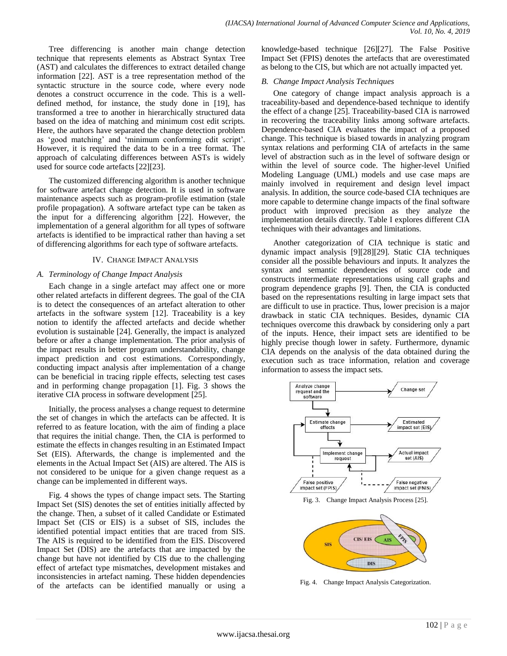Tree differencing is another main change detection technique that represents elements as Abstract Syntax Tree (AST) and calculates the differences to extract detailed change information [22]. AST is a tree representation method of the syntactic structure in the source code, where every node denotes a construct occurrence in the code. This is a welldefined method, for instance, the study done in [19], has transformed a tree to another in hierarchically structured data based on the idea of matching and minimum cost edit scripts. Here, the authors have separated the change detection problem as 'good matching' and 'minimum conforming edit script'. However, it is required the data to be in a tree format. The approach of calculating differences between ASTs is widely used for source code artefacts [22][23].

The customized differencing algorithm is another technique for software artefact change detection. It is used in software maintenance aspects such as program-profile estimation (stale profile propagation). A software artefact type can be taken as the input for a differencing algorithm [22]. However, the implementation of a general algorithm for all types of software artefacts is identified to be impractical rather than having a set of differencing algorithms for each type of software artefacts.

## IV. CHANGE IMPACT ANALYSIS

## *A. Terminology of Change Impact Analysis*

Each change in a single artefact may affect one or more other related artefacts in different degrees. The goal of the CIA is to detect the consequences of an artefact alteration to other artefacts in the software system [12]. Traceability is a key notion to identify the affected artefacts and decide whether evolution is sustainable [24]. Generally, the impact is analyzed before or after a change implementation. The prior analysis of the impact results in better program understandability, change impact prediction and cost estimations. Correspondingly, conducting impact analysis after implementation of a change can be beneficial in tracing ripple effects, selecting test cases and in performing change propagation [1]. Fig. 3 shows the iterative CIA process in software development [25].

Initially, the process analyses a change request to determine the set of changes in which the artefacts can be affected. It is referred to as feature location, with the aim of finding a place that requires the initial change. Then, the CIA is performed to estimate the effects in changes resulting in an Estimated Impact Set (EIS). Afterwards, the change is implemented and the elements in the Actual Impact Set (AIS) are altered. The AIS is not considered to be unique for a given change request as a change can be implemented in different ways.

Fig. 4 shows the types of change impact sets. The Starting Impact Set (SIS) denotes the set of entities initially affected by the change. Then, a subset of it called Candidate or Estimated Impact Set (CIS or EIS) is a subset of SIS, includes the identified potential impact entities that are traced from SIS. The AIS is required to be identified from the EIS. Discovered Impact Set (DIS) are the artefacts that are impacted by the change but have not identified by CIS due to the challenging effect of artefact type mismatches, development mistakes and inconsistencies in artefact naming. These hidden dependencies of the artefacts can be identified manually or using a knowledge-based technique [26][27]. The False Positive Impact Set (FPIS) denotes the artefacts that are overestimated as belong to the CIS, but which are not actually impacted yet.

## *B. Change Impact Analysis Techniques*

One category of change impact analysis approach is a traceability-based and dependence-based technique to identify the effect of a change [25]. Traceability-based CIA is narrowed in recovering the traceability links among software artefacts. Dependence-based CIA evaluates the impact of a proposed change. This technique is biased towards in analyzing program syntax relations and performing CIA of artefacts in the same level of abstraction such as in the level of software design or within the level of source code. The higher-level Unified Modeling Language (UML) models and use case maps are mainly involved in requirement and design level impact analysis. In addition, the source code-based CIA techniques are more capable to determine change impacts of the final software product with improved precision as they analyze the implementation details directly. Table I explores different CIA techniques with their advantages and limitations.

Another categorization of CIA technique is static and dynamic impact analysis [9][28][29]. Static CIA techniques consider all the possible behaviours and inputs. It analyzes the syntax and semantic dependencies of source code and constructs intermediate representations using call graphs and program dependence graphs [9]. Then, the CIA is conducted based on the representations resulting in large impact sets that are difficult to use in practice. Thus, lower precision is a major drawback in static CIA techniques. Besides, dynamic CIA techniques overcome this drawback by considering only a part of the inputs. Hence, their impact sets are identified to be highly precise though lower in safety. Furthermore, dynamic CIA depends on the analysis of the data obtained during the execution such as trace information, relation and coverage information to assess the impact sets.



Fig. 4. Change Impact Analysis Categorization.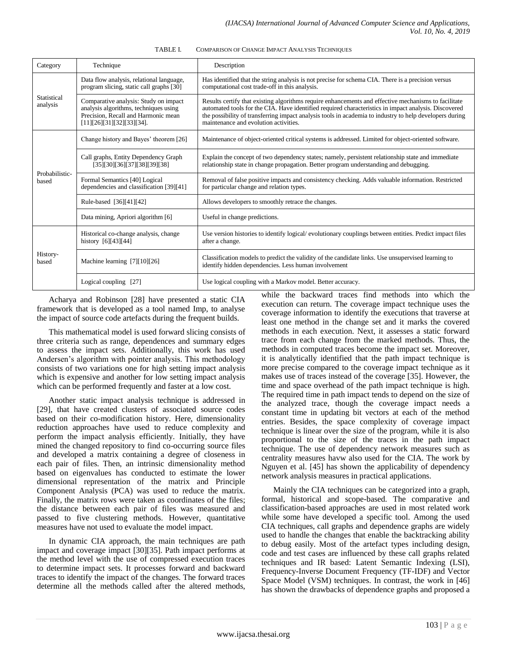| Category                | Technique                                                                                                                                          | Description                                                                                                                                                                                                                                                                                                                                                      |  |  |
|-------------------------|----------------------------------------------------------------------------------------------------------------------------------------------------|------------------------------------------------------------------------------------------------------------------------------------------------------------------------------------------------------------------------------------------------------------------------------------------------------------------------------------------------------------------|--|--|
| Statistical<br>analysis | Data flow analysis, relational language,<br>program slicing, static call graphs [30]                                                               | Has identified that the string analysis is not precise for schema CIA. There is a precision versus<br>computational cost trade-off in this analysis.                                                                                                                                                                                                             |  |  |
|                         | Comparative analysis: Study on impact<br>analysis algorithms, techniques using<br>Precision, Recall and Harmonic mean<br>[11][26][31][32][33][34]. | Results certify that existing algorithms require enhancements and effective mechanisms to facilitate<br>automated tools for the CIA. Have identified required characteristics in impact analysis. Discovered<br>the possibility of transferring impact analysis tools in academia to industry to help developers during<br>maintenance and evolution activities. |  |  |
| Probabilistic-<br>based | Change history and Bayes' theorem [26]                                                                                                             | Maintenance of object-oriented critical systems is addressed. Limited for object-oriented software.                                                                                                                                                                                                                                                              |  |  |
|                         | Call graphs, Entity Dependency Graph<br>[35][30][36][37][38][39][38]                                                                               | Explain the concept of two dependency states; namely, persistent relationship state and immediate<br>relationship state in change propagation. Better program understanding and debugging.                                                                                                                                                                       |  |  |
|                         | Formal Semantics [40] Logical<br>dependencies and classification [39][41]                                                                          | Removal of false positive impacts and consistency checking. Adds valuable information. Restricted<br>for particular change and relation types.                                                                                                                                                                                                                   |  |  |
|                         | Rule-based [36][41][42]                                                                                                                            | Allows developers to smoothly retrace the changes.                                                                                                                                                                                                                                                                                                               |  |  |
|                         | Data mining, Apriori algorithm [6]                                                                                                                 | Useful in change predictions.                                                                                                                                                                                                                                                                                                                                    |  |  |
| History-<br>based       | Historical co-change analysis, change<br>history [6][43][44]                                                                                       | Use version histories to identify logical/evolutionary couplings between entities. Predict impact files<br>after a change.                                                                                                                                                                                                                                       |  |  |
|                         | Machine learning [7][10][26]                                                                                                                       | Classification models to predict the validity of the candidate links. Use unsupervised learning to<br>identify hidden dependencies. Less human involvement                                                                                                                                                                                                       |  |  |
|                         | Logical coupling [27]                                                                                                                              | Use logical coupling with a Markov model. Better accuracy.                                                                                                                                                                                                                                                                                                       |  |  |

TABLE I. COMPARISON OF CHANGE IMPACT ANALYSIS TECHNIQUES

Acharya and Robinson [28] have presented a static CIA framework that is developed as a tool named Imp, to analyse the impact of source code artefacts during the frequent builds.

This mathematical model is used forward slicing consists of three criteria such as range, dependences and summary edges to assess the impact sets. Additionally, this work has used Andersen's algorithm with pointer analysis. This methodology consists of two variations one for high setting impact analysis which is expensive and another for low setting impact analysis which can be performed frequently and faster at a low cost.

Another static impact analysis technique is addressed in [29], that have created clusters of associated source codes based on their co-modification history. Here, dimensionality reduction approaches have used to reduce complexity and perform the impact analysis efficiently. Initially, they have mined the changed repository to find co-occurring source files and developed a matrix containing a degree of closeness in each pair of files. Then, an intrinsic dimensionality method based on eigenvalues has conducted to estimate the lower dimensional representation of the matrix and Principle Component Analysis (PCA) was used to reduce the matrix. Finally, the matrix rows were taken as coordinates of the files; the distance between each pair of files was measured and passed to five clustering methods. However, quantitative measures have not used to evaluate the model impact.

In dynamic CIA approach, the main techniques are path impact and coverage impact [30][35]. Path impact performs at the method level with the use of compressed execution traces to determine impact sets. It processes forward and backward traces to identify the impact of the changes. The forward traces determine all the methods called after the altered methods, while the backward traces find methods into which the execution can return. The coverage impact technique uses the coverage information to identify the executions that traverse at least one method in the change set and it marks the covered methods in each execution. Next, it assesses a static forward trace from each change from the marked methods. Thus, the methods in computed traces become the impact set. Moreover, it is analytically identified that the path impact technique is more precise compared to the coverage impact technique as it makes use of traces instead of the coverage [35]. However, the time and space overhead of the path impact technique is high. The required time in path impact tends to depend on the size of the analyzed trace, though the coverage impact needs a constant time in updating bit vectors at each of the method entries. Besides, the space complexity of coverage impact technique is linear over the size of the program, while it is also proportional to the size of the traces in the path impact technique. The use of dependency network measures such as centrality measures havw also used for the CIA. The work by Nguyen et al. [45] has shown the applicability of dependency network analysis measures in practical applications.

Mainly the CIA techniques can be categorized into a graph, formal, historical and scope-based. The comparative and classification-based approaches are used in most related work while some have developed a specific tool. Among the used CIA techniques, call graphs and dependence graphs are widely used to handle the changes that enable the backtracking ability to debug easily. Most of the artefact types including design, code and test cases are influenced by these call graphs related techniques and IR based: Latent Semantic Indexing (LSI), Frequency-Inverse Document Frequency (TF-IDF) and Vector Space Model (VSM) techniques. In contrast, the work in [46] has shown the drawbacks of dependence graphs and proposed a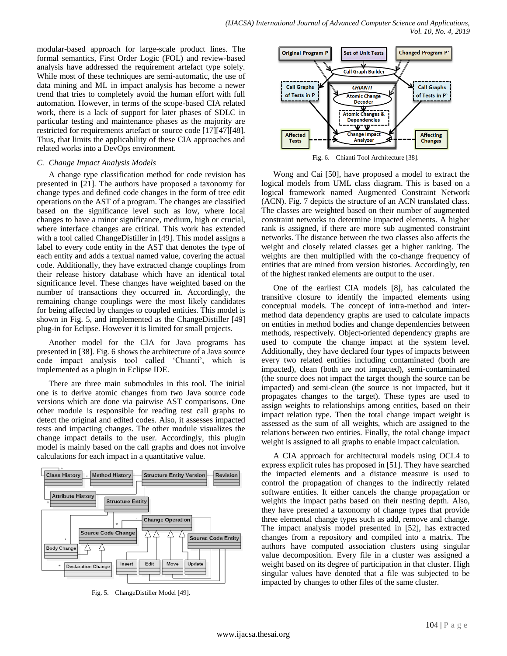modular-based approach for large-scale product lines. The formal semantics, First Order Logic (FOL) and review-based analysis have addressed the requirement artefact type solely. While most of these techniques are semi-automatic, the use of data mining and ML in impact analysis has become a newer trend that tries to completely avoid the human effort with full automation. However, in terms of the scope-based CIA related work, there is a lack of support for later phases of SDLC in particular testing and maintenance phases as the majority are restricted for requirements artefact or source code [17][47][48]. Thus, that limits the applicability of these CIA approaches and related works into a DevOps environment.

#### *C. Change Impact Analysis Models*

A change type classification method for code revision has presented in [21]. The authors have proposed a taxonomy for change types and defined code changes in the form of tree edit operations on the AST of a program. The changes are classified based on the significance level such as low, where local changes to have a minor significance, medium, high or crucial, where interface changes are critical. This work has extended with a tool called ChangeDistiller in [49]. This model assigns a label to every code entity in the AST that denotes the type of each entity and adds a textual named value, covering the actual code. Additionally, they have extracted change couplings from their release history database which have an identical total significance level. These changes have weighted based on the number of transactions they occurred in. Accordingly, the remaining change couplings were the most likely candidates for being affected by changes to coupled entities. This model is shown in Fig. 5, and implemented as the ChangeDistiller [49] plug-in for Eclipse. However it is limited for small projects.

Another model for the CIA for Java programs has presented in [38]. Fig. 6 shows the architecture of a Java source code impact analysis tool called 'Chianti', which is implemented as a plugin in Eclipse IDE.

There are three main submodules in this tool. The initial one is to derive atomic changes from two Java source code versions which are done via pairwise AST comparisons. One other module is responsible for reading test call graphs to detect the original and edited codes. Also, it assesses impacted tests and impacting changes. The other module visualizes the change impact details to the user. Accordingly, this plugin model is mainly based on the call graphs and does not involve calculations for each impact in a quantitative value.



Fig. 5. ChangeDistiller Model [49].



Fig. 6. Chianti Tool Architecture [38].

Wong and Cai [50], have proposed a model to extract the logical models from UML class diagram. This is based on a logical framework named Augmented Constraint Network (ACN). Fig. 7 depicts the structure of an ACN translated class. The classes are weighted based on their number of augmented constraint networks to determine impacted elements. A higher rank is assigned, if there are more sub augmented constraint networks. The distance between the two classes also affects the weight and closely related classes get a higher ranking. The weights are then multiplied with the co-change frequency of entities that are mined from version histories. Accordingly, ten of the highest ranked elements are output to the user.

One of the earliest CIA models [8], has calculated the transitive closure to identify the impacted elements using conceptual models. The concept of intra-method and intermethod data dependency graphs are used to calculate impacts on entities in method bodies and change dependencies between methods, respectively. Object-oriented dependency graphs are used to compute the change impact at the system level. Additionally, they have declared four types of impacts between every two related entities including contaminated (both are impacted), clean (both are not impacted), semi-contaminated (the source does not impact the target though the source can be impacted) and semi-clean (the source is not impacted, but it propagates changes to the target). These types are used to assign weights to relationships among entities, based on their impact relation type. Then the total change impact weight is assessed as the sum of all weights, which are assigned to the relations between two entities. Finally, the total change impact weight is assigned to all graphs to enable impact calculation.

A CIA approach for architectural models using OCL4 to express explicit rules has proposed in [51]. They have searched the impacted elements and a distance measure is used to control the propagation of changes to the indirectly related software entities. It either cancels the change propagation or weights the impact paths based on their nesting depth. Also, they have presented a taxonomy of change types that provide three elemental change types such as add, remove and change. The impact analysis model presented in [52], has extracted changes from a repository and compiled into a matrix. The authors have computed association clusters using singular value decomposition. Every file in a cluster was assigned a weight based on its degree of participation in that cluster. High singular values have denoted that a file was subjected to be impacted by changes to other files of the same cluster.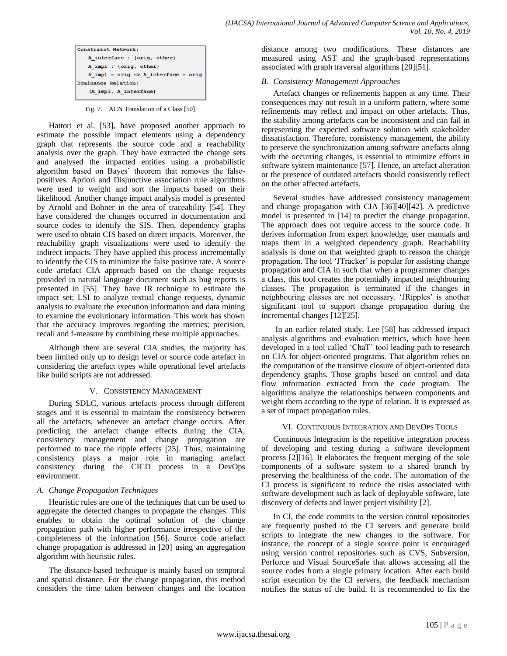| Constraint Network:                              |  |  |  |  |  |
|--------------------------------------------------|--|--|--|--|--|
| A interface : {orig, other}                      |  |  |  |  |  |
| A impl : {orig, other}                           |  |  |  |  |  |
| A impl = $orig \Rightarrow A$ interface = $orig$ |  |  |  |  |  |
| Dominance Relation:                              |  |  |  |  |  |
| (A impl, A interface)                            |  |  |  |  |  |
|                                                  |  |  |  |  |  |

Fig. 7. ACN Translation of a Class [50].

Hattori et al. [53], have proposed another approach to estimate the possible impact elements using a dependency graph that represents the source code and a reachability analysis over the graph. They have extracted the change sets and analysed the impacted entities using a probabilistic algorithm based on Bayes' theorem that removes the falsepositives. Apriori and Disjunctive association rule algorithms were used to weight and sort the impacts based on their likelihood. Another change impact analysis model is presented by Arnold and Bohner in the area of traceability [54]. They have considered the changes occurred in documentation and source codes to identify the SIS. Then, dependency graphs were used to obtain CIS based on direct impacts. Moreover, the reachability graph visualizations were used to identify the indirect impacts. They have applied this process incrementally to identify the CIS to minimize the false positive rate. A source code artefact CIA approach based on the change requests provided in natural language document such as bug reports is presented in [55]. They have IR technique to estimate the impact set; LSI to analyze textual change requests, dynamic analysis to evaluate the execution information and data mining to examine the evolutionary information. This work has shown that the accuracy improves regarding the metrics; precision, recall and f-measure by combining these multiple approaches.

Although there are several CIA studies, the majority has been limited only up to design level or source code artefact in considering the artefact types while operational level artefacts like build scripts are not addressed.

## V. CONSISTENCY MANAGEMENT

During SDLC, various artefacts process through different stages and it is essential to maintain the consistency between all the artefacts, whenever an artefact change occurs. After predicting the artefact change effects during the CIA, consistency management and change propagation are performed to trace the ripple effects [25]. Thus, maintaining consistency plays a major role in managing artefact consistency during the CICD process in a DevOps environment.

# *A. Change Propagation Techniques*

Heuristic rules are one of the techniques that can be used to aggregate the detected changes to propagate the changes. This enables to obtain the optimal solution of the change propagation path with higher performance irrespective of the completeness of the information [56]. Source code artefact change propagation is addressed in [20] using an aggregation algorithm with heuristic rules.

The distance-based technique is mainly based on temporal and spatial distance. For the change propagation, this method considers the time taken between changes and the location distance among two modifications. These distances are measured using AST and the graph-based representations associated with graph traversal algorithms [20][51].

# *B. Consistency Management Approaches*

Artefact changes or refinements happen at any time. Their consequences may not result in a uniform pattern, where some refinements may reflect and impact on other artefacts. Thus, the stability among artefacts can be inconsistent and can fail in representing the expected software solution with stakeholder dissatisfaction. Therefore, consistency management, the ability to preserve the synchronization among software artefacts along with the occurring changes, is essential to minimize efforts in software system maintenance [57]. Hence, an artefact alteration or the presence of outdated artefacts should consistently reflect on the other affected artefacts.

Several studies have addressed consistency management and change propagation with CIA [36][40][42]. A predictive model is presented in [14] to predict the change propagation. The approach does not require access to the source code. It derives information from expert knowledge, user manuals and maps them in a weighted dependency graph. Reachability analysis is done on that weighted graph to reason the change propagation. The tool "JTracker" is popular for assisting change propagation and CIA in such that when a programmer changes a class, this tool creates the potentially impacted neighbouring classes. The propagation is terminated if the changes in neighbouring classes are not necessary. "JRipples" is another significant tool to support change propagation during the incremental changes [12][25].

In an earlier related study, Lee [58] has addressed impact analysis algorithms and evaluation metrics, which have been developed in a tool called "ChaT" tool leading path to research on CIA for object-oriented programs. That algorithm relies on the computation of the transitive closure of object-oriented data dependency graphs. Those graphs based on control and data flow information extracted from the code program. The algorithms analyze the relationships between components and weight them according to the type of relation. It is expressed as a set of impact propagation rules.

## VI. CONTINUOUS INTEGRATION AND DEVOPS TOOLS

Continuous Integration is the repetitive integration process of developing and testing during a software development process [2][16]. It elaborates the frequent merging of the sole components of a software system to a shared branch by preserving the healthiness of the code. The automation of the CI process is significant to reduce the risks associated with software development such as lack of deployable software, late discovery of defects and lower project visibility [2].

In CI, the code commits to the version control repositories are frequently pushed to the CI servers and generate build scripts to integrate the new changes to the software. For instance, the concept of a single source point is encouraged using version control repositories such as CVS, Subversion, Perforce and Visual SourceSafe that allows accessing all the source codes from a single primary location. After each build script execution by the CI servers, the feedback mechanism notifies the status of the build. It is recommended to fix the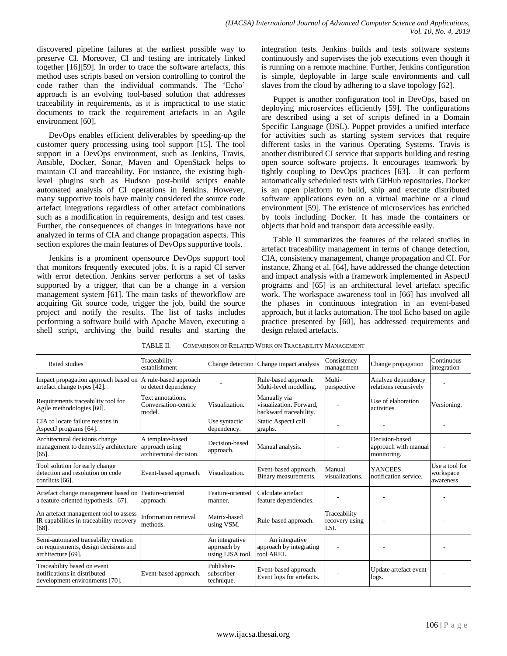discovered pipeline failures at the earliest possible way to preserve CI. Moreover, CI and testing are intricately linked together [16][59]. In order to trace the software artefacts, this method uses scripts based on version controlling to control the code rather than the individual commands. The "Echo" approach is an evolving tool-based solution that addresses traceability in requirements, as it is impractical to use static documents to track the requirement artefacts in an Agile environment [60].

DevOps enables efficient deliverables by speeding-up the customer query processing using tool support [15]. The tool support in a DevOps environment, such as Jenkins, Travis, Ansible, Docker, Sonar, Maven and OpenStack helps to maintain CI and traceability. For instance, the existing highlevel plugins such as Hudson post-build scripts enable automated analysis of CI operations in Jenkins. However, many supportive tools have mainly considered the source code artefact integrations regardless of other artefact combinations such as a modification in requirements, design and test cases. Further, the consequences of changes in integrations have not analyzed in terms of CIA and change propagation aspects. This section explores the main features of DevOps supportive tools.

Jenkins is a prominent opensource DevOps support tool that monitors frequently executed jobs. It is a rapid CI server with error detection. Jenkins server performs a set of tasks supported by a trigger, that can be a change in a version management system [61]. The main tasks of theworkflow are acquiring Git source code, trigger the job, build the source project and notify the results. The list of tasks includes performing a software build with Apache Maven, executing a shell script, archiving the build results and starting the integration tests. Jenkins builds and tests software systems continuously and supervises the job executions even though it is running on a remote machine. Further, Jenkins configuration is simple, deployable in large scale environments and call slaves from the cloud by adhering to a slave topology [62].

Puppet is another configuration tool in DevOps, based on deploying microservices efficiently [59]. The configurations are described using a set of scripts defined in a Domain Specific Language (DSL). Puppet provides a unified interface for activities such as starting system services that require different tasks in the various Operating Systems. Travis is another distributed CI service that supports building and testing open source software projects. It encourages teamwork by tightly coupling to DevOps practices [63]. It can perform automatically scheduled tests with GitHub repositories. Docker is an open platform to build, ship and execute distributed software applications even on a virtual machine or a cloud environment [59]. The existence of microservices has enriched by tools including Docker. It has made the containers or objects that hold and transport data accessible easily.

Table II summarizes the features of the related studies in artefact traceability management in terms of change detection, CIA, consistency management, change propagation and CI. For instance, Zhang et al. [64], have addressed the change detection and impact analysis with a framework implemented in AspectJ programs and [65] is an architectural level artefact specific work. The workspace awareness tool in [66] has involved all the phases in continuous integration in an event-based approach, but it lacks automation. The tool Echo based on agile practice presented by [60], has addressed requirements and design related artefacts.

| Rated studies                                                                                       | Traceability<br>establishment                                 |                                                   | Change detection Change impact analysis                           | Consistency<br>management                                            | Change propagation                          | Continuous<br>integration                |
|-----------------------------------------------------------------------------------------------------|---------------------------------------------------------------|---------------------------------------------------|-------------------------------------------------------------------|----------------------------------------------------------------------|---------------------------------------------|------------------------------------------|
| Impact propagation approach based on A rule-based approach<br>artefact change types [42].           | to detect dependency                                          |                                                   | Rule-based approach.<br>Multi-level modelling.                    | Multi-<br>perspective                                                | Analyze dependency<br>relations recursively |                                          |
| Requirements traceability tool for<br>Agile methodologies [60].                                     | Text annotations.<br>Conversation-centric<br>model.           | Visualization.                                    | Manually via<br>visualization. Forward,<br>backward traceability. |                                                                      | Use of elaboration<br>activities.           | Versioning.                              |
| CIA to locate failure reasons in<br>AspectJ programs [64].                                          |                                                               | Use syntactic<br>dependency.                      | Static AspectJ call<br>graphs.                                    |                                                                      |                                             |                                          |
| Architectural decisions change<br>management to demystify architecture<br>$[65]$ .                  | A template-based<br>approach using<br>architectural decision. | Decision-based<br>approach.                       | Manual analysis.                                                  | Decision-based<br>approach with manual<br>monitoring.                |                                             |                                          |
| Tool solution for early change<br>detection and resolution on code<br>conflicts $[66]$ .            | Event-based approach.                                         | Visualization.                                    | Event-based approach.<br>Binary measurements.                     | <b>YANCEES</b><br>Manual<br>notification service.<br>visualizations. |                                             | Use a tool for<br>workspace<br>awareness |
| Artefact change management based on Feature-oriented<br>a feature-oriented hypothesis. [67].        | approach.                                                     | Feature-oriented<br>manner.                       | Calculate artefact<br>feature dependencies.                       |                                                                      |                                             |                                          |
| An artefact management tool to assess<br>IR capabilities in traceability recovery<br>[68]           | Information retrieval<br>methods.                             | Matrix-based<br>using VSM.                        | Rule-based approach.                                              | Traceability<br>recovery using<br>LSI.                               |                                             |                                          |
| Semi-automated traceability creation<br>on requirements, design decisions and<br>architecture [69]. |                                                               | An integrative<br>approach by<br>using LISA tool. | An integrative<br>approach by integrating<br>tool AREL.           |                                                                      |                                             |                                          |
| Traceability based on event<br>notifications in distributed<br>development environments [70].       | Event-based approach.                                         | Publisher-<br>subscriber<br>technique.            | Event-based approach.<br>Event logs for artefacts.                |                                                                      | Update artefact event<br>logs.              |                                          |

TABLE II. COMPARISON OF RELATED WORK ON TRACEABILITY MANAGEMENT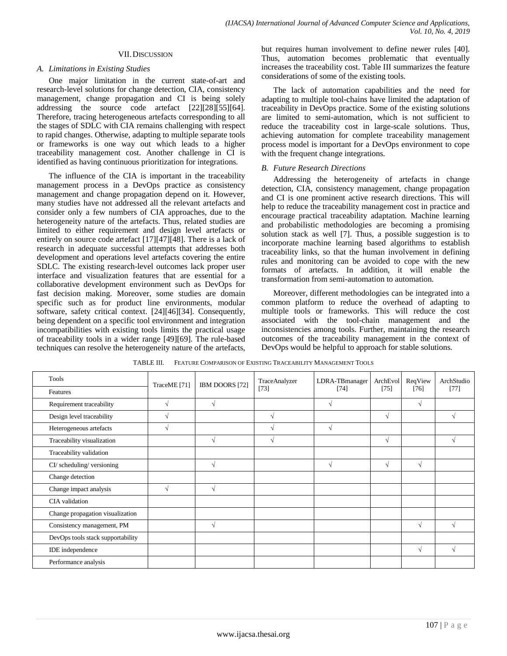## VII.DISCUSSION

# *A. Limitations in Existing Studies*

One major limitation in the current state-of-art and research-level solutions for change detection, CIA, consistency management, change propagation and CI is being solely addressing the source code artefact [22][28][55][64]. Therefore, tracing heterogeneous artefacts corresponding to all the stages of SDLC with CIA remains challenging with respect to rapid changes. Otherwise, adapting to multiple separate tools or frameworks is one way out which leads to a higher traceability management cost. Another challenge in CI is identified as having continuous prioritization for integrations.

The influence of the CIA is important in the traceability management process in a DevOps practice as consistency management and change propagation depend on it. However, many studies have not addressed all the relevant artefacts and consider only a few numbers of CIA approaches, due to the heterogeneity nature of the artefacts. Thus, related studies are limited to either requirement and design level artefacts or entirely on source code artefact [17][47][48]. There is a lack of research in adequate successful attempts that addresses both development and operations level artefacts covering the entire SDLC. The existing research-level outcomes lack proper user interface and visualization features that are essential for a collaborative development environment such as DevOps for fast decision making. Moreover, some studies are domain specific such as for product line environments, modular software, safety critical context. [24][46][34]. Consequently, being dependent on a specific tool environment and integration incompatibilities with existing tools limits the practical usage of traceability tools in a wider range [49][69]. The rule-based techniques can resolve the heterogeneity nature of the artefacts,

but requires human involvement to define newer rules [40]. Thus, automation becomes problematic that eventually increases the traceability cost. Table III summarizes the feature considerations of some of the existing tools.

The lack of automation capabilities and the need for adapting to multiple tool-chains have limited the adaptation of traceability in DevOps practice. Some of the existing solutions are limited to semi-automation, which is not sufficient to reduce the traceability cost in large-scale solutions. Thus, achieving automation for complete traceability management process model is important for a DevOps environment to cope with the frequent change integrations.

# *B. Future Research Directions*

Addressing the heterogeneity of artefacts in change detection, CIA, consistency management, change propagation and CI is one prominent active research directions. This will help to reduce the traceability management cost in practice and encourage practical traceability adaptation. Machine learning and probabilistic methodologies are becoming a promising solution stack as well [7]. Thus, a possible suggestion is to incorporate machine learning based algorithms to establish traceability links, so that the human involvement in defining rules and monitoring can be avoided to cope with the new formats of artefacts. In addition, it will enable the transformation from semi-automation to automation.

Moreover, different methodologies can be integrated into a common platform to reduce the overhead of adapting to multiple tools or frameworks. This will reduce the cost associated with the tool-chain management and the inconsistencies among tools. Further, maintaining the research outcomes of the traceability management in the context of DevOps would be helpful to approach for stable solutions.

| Tools                             | TraceME [71] | IBM DOORS [72] | TraceAnalyzer<br>$[73]$ | LDRA-TBmanager<br>$[74]$ | ArchEvol<br>$[75]$ | ReqView<br>$[76]$ | ArchStudio<br>$[77]$     |
|-----------------------------------|--------------|----------------|-------------------------|--------------------------|--------------------|-------------------|--------------------------|
| Features                          |              |                |                         |                          |                    |                   |                          |
| Requirement traceability          | V            | $\sqrt{ }$     |                         | $\sqrt{ }$               |                    | $\sqrt{ }$        |                          |
| Design level traceability         |              |                | $\sqrt{ }$              |                          | $\sqrt{ }$         |                   | N                        |
| Heterogeneous artefacts           |              |                | N                       | ٦                        |                    |                   |                          |
| Traceability visualization        |              | $\sqrt{ }$     | $\sqrt{ }$              |                          | $\sqrt{ }$         |                   | N                        |
| Traceability validation           |              |                |                         |                          |                    |                   |                          |
| CI/ scheduling/ versioning        |              | $\sqrt{ }$     |                         | V                        | $\sqrt{ }$         | $\sqrt{ }$        |                          |
| Change detection                  |              |                |                         |                          |                    |                   |                          |
| Change impact analysis            | $\sqrt{ }$   | $\sqrt{ }$     |                         |                          |                    |                   |                          |
| CIA validation                    |              |                |                         |                          |                    |                   |                          |
| Change propagation visualization  |              |                |                         |                          |                    |                   |                          |
| Consistency management, PM        |              | $\sqrt{ }$     |                         |                          |                    | V                 | $\overline{\phantom{a}}$ |
| DevOps tools stack supportability |              |                |                         |                          |                    |                   |                          |
| IDE independence                  |              |                |                         |                          |                    | $\sqrt{ }$        |                          |
| Performance analysis              |              |                |                         |                          |                    |                   |                          |

TABLE III. FEATURE COMPARISON OF EXISTING TRACEABILITY MANAGEMENT TOOLS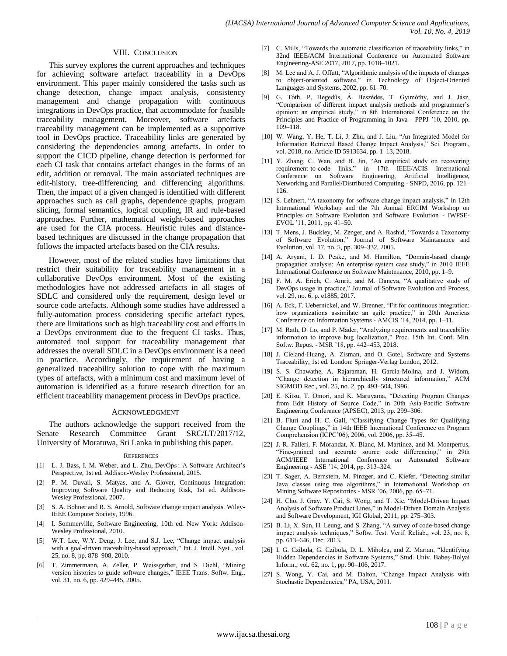#### VIII. CONCLUSION

This survey explores the current approaches and techniques for achieving software artefact traceability in a DevOps environment. This paper mainly considered the tasks such as change detection, change impact analysis, consistency management and change propagation with continuous integrations in DevOps practice, that accommodate for feasible traceability management. Moreover, software artefacts traceability management can be implemented as a supportive tool in DevOps practice. Traceability links are generated by considering the dependencies among artefacts. In order to support the CICD pipeline, change detection is performed for each CI task that contains artefact changes in the forms of an edit, addition or removal. The main associated techniques are edit-history, tree-differencing and differencing algorithms. Then, the impact of a given changed is identified with different approaches such as call graphs, dependence graphs, program slicing, formal semantics, logical coupling, IR and rule-based approaches. Further, mathematical weight-based approaches are used for the CIA process. Heuristic rules and distancebased techniques are discussed in the change propagation that follows the impacted artefacts based on the CIA results.

However, most of the related studies have limitations that restrict their suitability for traceability management in a collaborative DevOps environment. Most of the existing methodologies have not addressed artefacts in all stages of SDLC and considered only the requirement, design level or source code artefacts. Although some studies have addressed a fully-automation process considering specific artefact types, there are limitations such as high traceability cost and efforts in a DevOps environment due to the frequent CI tasks. Thus, automated tool support for traceability management that addresses the overall SDLC in a DevOps environment is a need in practice. Accordingly, the requirement of having a generalized traceability solution to cope with the maximum types of artefacts, with a minimum cost and maximum level of automation is identified as a future research direction for an efficient traceability management process in DevOps practice.

#### ACKNOWLEDGMENT

The authors acknowledge the support received from the Senate Research Committee Grant SRC/LT/2017/12, University of Moratuwa, Sri Lanka in publishing this paper.

#### **REFERENCES**

- [1] L. J. Bass, I. M. Weber, and L. Zhu, DevOps: A Software Architect's Perspective, 1st ed. Addison-Wesley Professional, 2015.
- [2] P. M. Duvall, S. Matyas, and A. Glover, Continuous Integration: Improving Software Quality and Reducing Risk, 1st ed. Addison-Wesley Professional, 2007.
- [3] S. A. Bohner and R. S. Arnold, Software change impact analysis. Wiley-IEEE Computer Society, 1996.
- [4] I. Sommerville, Software Engineering, 10th ed. New York: Addison-Wesley Professional, 2010.
- [5] W.T. Lee, W.Y. Deng, J. Lee, and S.J. Lee, "Change impact analysis with a goal-driven traceability-based approach," Int. J. Intell. Syst., vol. 25, no. 8, pp. 878–908, 2010.
- [6] T. Zimmermann, A. Zeller, P. Weissgerber, and S. Diehl, "Mining version histories to guide software changes," IEEE Trans. Softw. Eng., vol. 31, no. 6, pp. 429–445, 2005.
- [7] C. Mills, "Towards the automatic classification of traceability links," in 32nd IEEE/ACM International Conference on Automated Software Engineering-ASE 2017, 2017, pp. 1018–1021.
- [8] M. Lee and A. J. Offutt, "Algorithmic analysis of the impacts of changes to object-oriented software," in Technology of Object-Oriented Languages and Systems, 2002, pp. 61–70.
- [9] G. Tóth, P. Hegedűs, Á. Beszédes, T. Gyimóthy, and J. Jász, "Comparison of different impact analysis methods and programmer"s opinion: an empirical study," in 8th International Conference on the Principles and Practice of Programming in Java - PPPJ "10, 2010, pp. 109–118.
- [10] W. Wang, Y. He, T. Li, J. Zhu, and J. Liu, "An Integrated Model for Information Retrieval Based Change Impact Analysis," Sci. Program., vol. 2018, no. Article ID 5913634, pp. 1–13, 2018.
- [11] Y. Zhang, C. Wan, and B. Jin, "An empirical study on recovering requirement-to-code links," in 17th IEEE/ACIS International Conference on Software Engineering, Artificial Intelligence, Networking and Parallel/Distributed Computing - SNPD, 2016, pp. 121– 126.
- [12] S. Lehnert, "A taxonomy for software change impact analysis," in 12th International Workshop and the 7th Annual ERCIM Workshop on Principles on Software Evolution and Software Evolution - IWPSE-EVOL "11, 2011, pp. 41–50.
- [13] T. Mens, J. Buckley, M. Zenger, and A. Rashid, "Towards a Taxonomy of Software Evolution," Journal of Software Maintanance and Evolution, vol. 17, no. 5, pp. 309–332, 2005.
- [14] A. Aryani, I. D. Peake, and M. Hamilton, "Domain-based change propagation analysis: An enterprise system case study," in 2010 IEEE International Conference on Software Maintenance, 2010, pp. 1–9.
- [15] F. M. A. Erich, C. Amrit, and M. Daneva, "A qualitative study of DevOps usage in practice," Journal of Software Evolution and Process, vol. 29, no. 6, p. e1885, 2017.
- [16] A. Eck, F. Uebernickel, and W. Brenner, "Fit for continuous integration: how organizations assimilate an agile practice," in 20th Americas Conference on Information Systems - AMCIS "14, 2014, pp. 1–11.
- [17] M. Rath, D. Lo, and P. Mäder, "Analyzing requirements and traceability information to improve bug localization," Proc. 15th Int. Conf. Min. Softw. Repos. - MSR "18, pp. 442–453, 2018.
- [18] J. Cleland-Huang, A. Zisman, and O. Gotel, Software and Systems Traceability, 1st ed. London: Springer-Verlag London, 2012.
- [19] S. S. Chawathe, A. Rajaraman, H. Garcia-Molina, and J. Widom, "Change detection in hierarchically structured information," ACM SIGMOD Rec., vol. 25, no. 2, pp. 493–504, 1996.
- [20] E. Kitsu, T. Omori, and K. Maruyama, "Detecting Program Changes from Edit History of Source Code," in 20th Asia-Pacific Software Engineering Conference (APSEC), 2013, pp. 299–306.
- [21] B. Fluri and H. C. Gall, "Classifying Change Types for Qualifying Change Couplings," in 14th IEEE International Conference on Program Comprehension (ICPC"06), 2006, vol. 2006, pp. 35–45.
- [22] J.-R. Falleri, F. Morandat, X. Blanc, M. Martinez, and M. Montperrus, "Fine-grained and accurate source code differencing," in 29th ACM/IEEE International Conference on Automated Software Engineering - ASE "14, 2014, pp. 313–324.
- [23] T. Sager, A. Bernstein, M. Pinzger, and C. Kiefer, "Detecting similar Java classes using tree algorithms," in International Workshop on Mining Software Repositories - MSR "06, 2006, pp. 65–71.
- [24] H. Cho, J. Gray, Y. Cai, S. Wong, and T. Xie, "Model-Driven Impact Analysis of Software Product Lines," in Model-Driven Domain Analysis and Software Development, IGI Global, 2011, pp. 275–303.
- [25] B. Li, X. Sun, H. Leung, and S. Zhang, "A survey of code-based change impact analysis techniques," Softw. Test. Verif. Reliab., vol. 23, no. 8, pp. 613–646, Dec. 2013.
- [26] I. G. Czibula, G. Czibula, D. L. Miholca, and Z. Marian, "Identifying Hidden Dependencies in Software Systems," Stud. Univ. Babeș-Bolyai Inform., vol. 62, no. 1, pp. 90–106, 2017.
- [27] S. Wong, Y. Cai, and M. Dalton, "Change Impact Analysis with Stochastic Dependencies," PA, USA, 2011.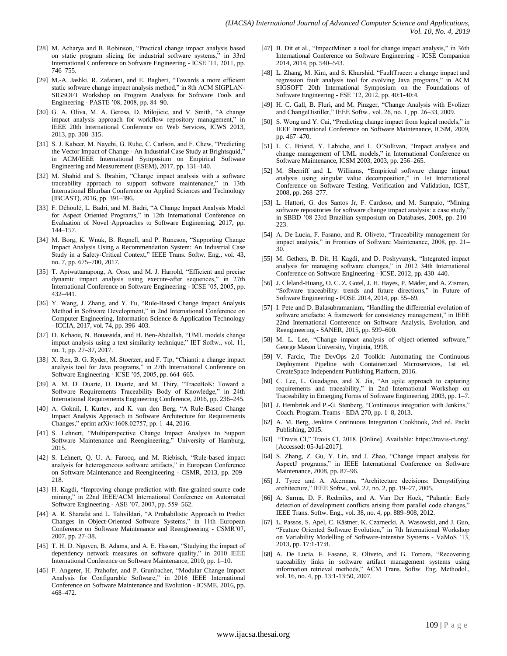- [28] M. Acharya and B. Robinson, "Practical change impact analysis based on static program slicing for industrial software systems," in 33rd International Conference on Software Engineering - ICSE "11, 2011, pp. 746–755.
- [29] M.-A. Jashki, R. Zafarani, and E. Bagheri, "Towards a more efficient static software change impact analysis method," in 8th ACM SIGPLAN-SIGSOFT Workshop on Program Analysis for Software Tools and Engineering - PASTE "08, 2008, pp. 84–90.
- [30] G. A. Oliva, M. A. Gerosa, D. Milojicic, and V. Smith, "A change impact analysis approach for workflow repository management," in IEEE 20th International Conference on Web Services, ICWS 2013, 2013, pp. 308–315.
- [31] S. J. Kabeer, M. Nayebi, G. Ruhe, C. Carlson, and F. Chew, "Predicting the Vector Impact of Change - An Industrial Case Study at Brightsquid," in ACM/IEEE International Symposium on Empirical Software Engineering and Measurement (ESEM), 2017, pp. 131–140.
- [32] M. Shahid and S. Ibrahim, "Change impact analysis with a software traceability approach to support software maintenance," in 13th International Bhurban Conference on Applied Sciences and Technology (IBCAST), 2016, pp. 391–396.
- [33] F. Déhoulé, L. Badri, and M. Badri, "A Change Impact Analysis Model for Aspect Oriented Programs," in 12th International Conference on Evaluation of Novel Approaches to Software Engineering, 2017, pp. 144–157.
- [34] M. Borg, K. Wnuk, B. Regnell, and P. Runeson, "Supporting Change Impact Analysis Using a Recommendation System: An Industrial Case Study in a Safety-Critical Context," IEEE Trans. Softw. Eng., vol. 43, no. 7, pp. 675–700, 2017.
- [35] T. Apiwattanapong, A. Orso, and M. J. Harrold, "Efficient and precise dynamic impact analysis using execute-after sequences," in 27th International Conference on Software Engineering - ICSE "05, 2005, pp. 432–441.
- [36] Y. Wang, J. Zhang, and Y. Fu, "Rule-Based Change Impact Analysis Method in Software Development," in 2nd International Conference on Computer Engineering, Information Science & Application Technology - ICCIA, 2017, vol. 74, pp. 396–403.
- [37] D. Kchaou, N. Bouassida, and H. Ben-Abdallah, "UML models change impact analysis using a text similarity technique," IET Softw., vol. 11, no. 1, pp. 27–37, 2017.
- [38] X. Ren, B. G. Ryder, M. Stoerzer, and F. Tip, "Chianti: a change impact analysis tool for Java programs," in 27th International Conference on Software Engineering - ICSE "05, 2005, pp. 664–665.
- A. M. D. Duarte, D. Duarte, and M. Thiry, "TraceBoK: Toward a Software Requirements Traceability Body of Knowledge," in 24th International Requirements Engineering Conference, 2016, pp. 236–245.
- [40] A. Goknil, I. Kurtev, and K. van den Berg, "A Rule-Based Change Impact Analysis Approach in Software Architecture for Requirements Changes," eprint arXiv:1608.02757, pp. 1–44, 2016.
- [41] S. Lehnert, "Multiperspective Change Impact Analysis to Support Software Maintenance and Reengineering," University of Hamburg, 2015.
- [42] S. Lehnert, Q. U. A. Farooq, and M. Riebisch, "Rule-based impact analysis for heterogeneous software artifacts," in European Conference on Software Maintenance and Reengineering - CSMR, 2013, pp. 209– 218.
- [43] H. Kagdi, "Improving change prediction with fine-grained source code mining," in 22nd IEEE/ACM International Conference on Automated Software Engineering - ASE "07, 2007, pp. 559–562.
- [44] A. R. Sharafat and L. Tahvildari, "A Probabilistic Approach to Predict Changes in Object-Oriented Software Systems," in 11th European Conference on Software Maintenance and Reengineering - CSMR"07, 2007, pp. 27–38.
- [45] T. H. D. Nguyen, B. Adams, and A. E. Hassan, "Studying the impact of dependency network measures on software quality," in 2010 IEEE International Conference on Software Maintenance, 2010, pp. 1–10.
- [46] F. Angerer, H. Prahofer, and P. Grunbacher, "Modular Change Impact Analysis for Configurable Software," in 2016 IEEE International Conference on Software Maintenance and Evolution - ICSME, 2016, pp. 468–472.
- [47] B. Dit et al., "ImpactMiner: a tool for change impact analysis," in 36th International Conference on Software Engineering - ICSE Companion 2014, 2014, pp. 540–543.
- [48] L. Zhang, M. Kim, and S. Khurshid, "FaultTracer: a change impact and regression fault analysis tool for evolving Java programs," in ACM SIGSOFT 20th International Symposium on the Foundations of Software Engineering - FSE "12, 2012, pp. 40:1-40:4.
- [49] H. C. Gall, B. Fluri, and M. Pinzger, "Change Analysis with Evolizer and ChangeDistiller," IEEE Softw., vol. 26, no. 1, pp. 26–33, 2009.
- [50] S. Wong and Y. Cai, "Predicting change impact from logical models," in IEEE International Conference on Software Maintenance, ICSM, 2009, pp. 467–470.
- [51] L. C. Briand, Y. Labiche, and L. O"Sullivan, "Impact analysis and change management of UML models," in International Conference on Software Maintenance, ICSM 2003, 2003, pp. 256–265.
- [52] M. Sherriff and L. Williams, "Empirical software change impact analysis using singular value decomposition," in 1st International Conference on Software Testing, Verification and Validation, ICST, 2008, pp. 268–277.
- [53] L. Hattori, G. dos Santos Jr, F. Cardoso, and M. Sampaio, "Mining software repositories for software change impact analysis: a case study, in SBBD "08 23rd Brazilian symposium on Databases, 2008, pp. 210– 223.
- [54] A. De Lucia, F. Fasano, and R. Oliveto, "Traceability management for impact analysis," in Frontiers of Software Maintenance, 2008, pp. 21– 30.
- [55] M. Gethers, B. Dit, H. Kagdi, and D. Poshyvanyk, "Integrated impact analysis for managing software changes," in 2012 34th International Conference on Software Engineering - ICSE, 2012, pp. 430–440.
- [56] J. Cleland-Huang, O. C. Z. Gotel, J. H. Hayes, P. Mäder, and A. Zisman, "Software traceability: trends and future directions," in Future of Software Engineering - FOSE 2014, 2014, pp. 55–69.
- [57] I. Pete and D. Balasubramaniam, "Handling the differential evolution of software artefacts: A framework for consistency management," in IEEE 22nd International Conference on Software Analysis, Evolution, and Reengineering - SANER, 2015, pp. 599–600.
- [58] M. L. Lee, "Change impact analysis of object-oriented software," George Mason University, Virginia, 1998.
- [59] V. Farcic, The DevOps 2.0 Toolkit: Automating the Continuous Deployment Pipeline with Containerized Microservices, 1st ed. CreateSpace Independent Publishing Platform, 2016.
- [60] C. Lee, L. Guadagno, and X. Jia, "An agile approach to capturing requirements and traceability," in 2nd International Workshop on Traceability in Emerging Forms of Software Engineering, 2003, pp. 1–7.
- [61] J. Hembrink and P.-G. Stenberg, "Continuous integration with Jenkins," Coach. Program. Teams - EDA 270, pp. 1–8, 2013.
- [62] A. M. Berg, Jenkins Continuous Integration Cookbook, 2nd ed. Packt Publishing, 2015.
- [63] "Travis CI," Travis CI, 2018. [Online]. Available: https://travis-ci.org/. [Accessed: 05-Jul-2017].
- [64] S. Zhang, Z. Gu, Y. Lin, and J. Zhao, "Change impact analysis for AspectJ programs," in IEEE International Conference on Software Maintenance, 2008, pp. 87–96.
- [65] J. Tyree and A. Akerman, "Architecture decisions: Demystifying architecture," IEEE Softw., vol. 22, no. 2, pp. 19–27, 2005.
- [66] A. Sarma, D. F. Redmiles, and A. Van Der Hoek, "Palantír: Early detection of development conflicts arising from parallel code changes, IEEE Trans. Softw. Eng., vol. 38, no. 4, pp. 889–908, 2012.
- [67] L. Passos, S. Apel, C. Kästner, K. Czarnecki, A. Wasowski, and J. Guo, "Feature Oriented Software Evolution," in 7th International Workshop on Variability Modelling of Software-intensive Systems - VaMoS "13, 2013, pp. 17:1-17:8.
- [68] A. De Lucia, F. Fasano, R. Oliveto, and G. Tortora, "Recovering traceability links in software artifact management systems using information retrieval methods," ACM Trans. Softw. Eng. Methodol., vol. 16, no. 4, pp. 13:1-13:50, 2007.